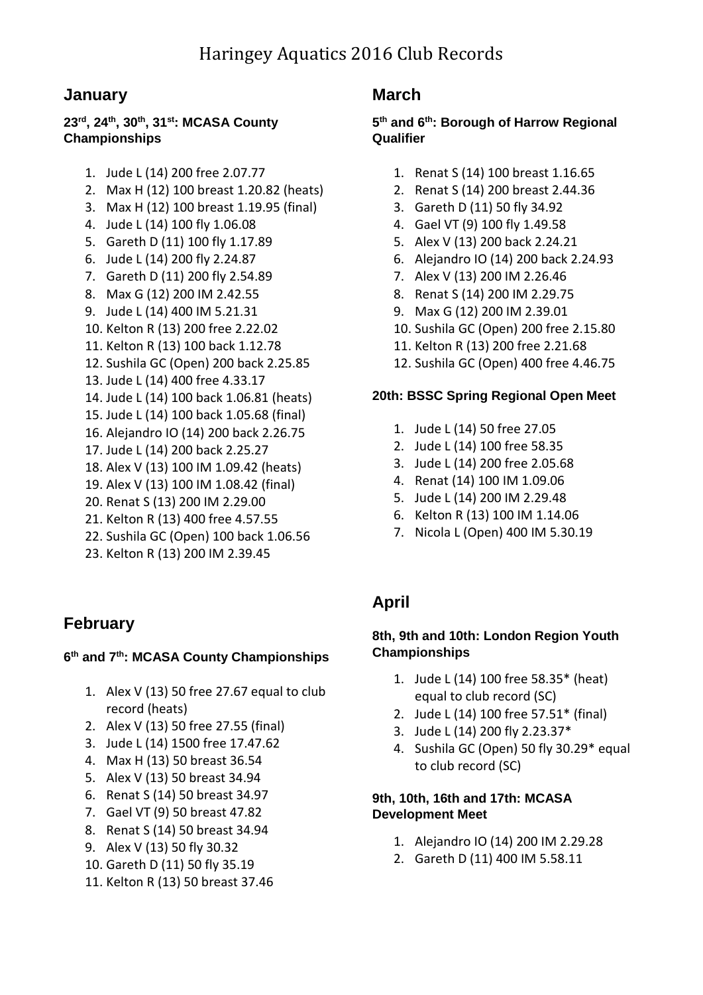## **January**

### **23rd, 24th , 30th, 31st: MCASA County Championships**

- 1. Jude L (14) 200 free 2.07.77
- 2. Max H (12) 100 breast 1.20.82 (heats)
- 3. Max H (12) 100 breast 1.19.95 (final)
- 4. Jude L (14) 100 fly 1.06.08
- 5. Gareth D (11) 100 fly 1.17.89
- 6. Jude L (14) 200 fly 2.24.87
- 7. Gareth D (11) 200 fly 2.54.89
- 8. Max G (12) 200 IM 2.42.55
- 9. Jude L (14) 400 IM 5.21.31
- 10. Kelton R (13) 200 free 2.22.02
- 11. Kelton R (13) 100 back 1.12.78
- 12. Sushila GC (Open) 200 back 2.25.85
- 13. Jude L (14) 400 free 4.33.17
- 14. Jude L (14) 100 back 1.06.81 (heats)
- 15. Jude L (14) 100 back 1.05.68 (final)
- 16. Alejandro IO (14) 200 back 2.26.75
- 17. Jude L (14) 200 back 2.25.27
- 18. Alex V (13) 100 IM 1.09.42 (heats)
- 19. Alex V (13) 100 IM 1.08.42 (final)
- 20. Renat S (13) 200 IM 2.29.00
- 21. Kelton R (13) 400 free 4.57.55
- 22. Sushila GC (Open) 100 back 1.06.56
- 23. Kelton R (13) 200 IM 2.39.45

## **February**

### **6 th and 7 th: MCASA County Championships**

- 1. Alex V (13) 50 free 27.67 equal to club record (heats)
- 2. Alex V (13) 50 free 27.55 (final)
- 3. Jude L (14) 1500 free 17.47.62
- 4. Max H (13) 50 breast 36.54
- 5. Alex V (13) 50 breast 34.94
- 6. Renat S (14) 50 breast 34.97
- 7. Gael VT (9) 50 breast 47.82
- 8. Renat S (14) 50 breast 34.94
- 9. Alex V (13) 50 fly 30.32
- 10. Gareth D (11) 50 fly 35.19
- 11. Kelton R (13) 50 breast 37.46

# **March**

#### **5 th and 6th: Borough of Harrow Regional Qualifier**

- 1. Renat S (14) 100 breast 1.16.65
- 2. Renat S (14) 200 breast 2.44.36
- 3. Gareth D (11) 50 fly 34.92
- 4. Gael VT (9) 100 fly 1.49.58
- 5. Alex V (13) 200 back 2.24.21
- 6. Alejandro IO (14) 200 back 2.24.93
- 7. Alex V (13) 200 IM 2.26.46
- 8. Renat S (14) 200 IM 2.29.75
- 9. Max G (12) 200 IM 2.39.01
- 10. Sushila GC (Open) 200 free 2.15.80
- 11. Kelton R (13) 200 free 2.21.68
- 12. Sushila GC (Open) 400 free 4.46.75

#### **20th: BSSC Spring Regional Open Meet**

- 1. Jude L (14) 50 free 27.05
- 2. Jude L (14) 100 free 58.35
- 3. Jude L (14) 200 free 2.05.68
- 4. Renat (14) 100 IM 1.09.06
- 5. Jude L (14) 200 IM 2.29.48
- 6. Kelton R (13) 100 IM 1.14.06
- 7. Nicola L (Open) 400 IM 5.30.19

# **April**

#### **8th, 9th and 10th: London Region Youth Championships**

- 1. Jude L (14) 100 free 58.35\* (heat) equal to club record (SC)
- 2. Jude L (14) 100 free 57.51\* (final)
- 3. Jude L (14) 200 fly 2.23.37\*
- 4. Sushila GC (Open) 50 fly 30.29\* equal to club record (SC)

#### **9th, 10th, 16th and 17th: MCASA Development Meet**

- 1. Alejandro IO (14) 200 IM 2.29.28
- 2. Gareth D (11) 400 IM 5.58.11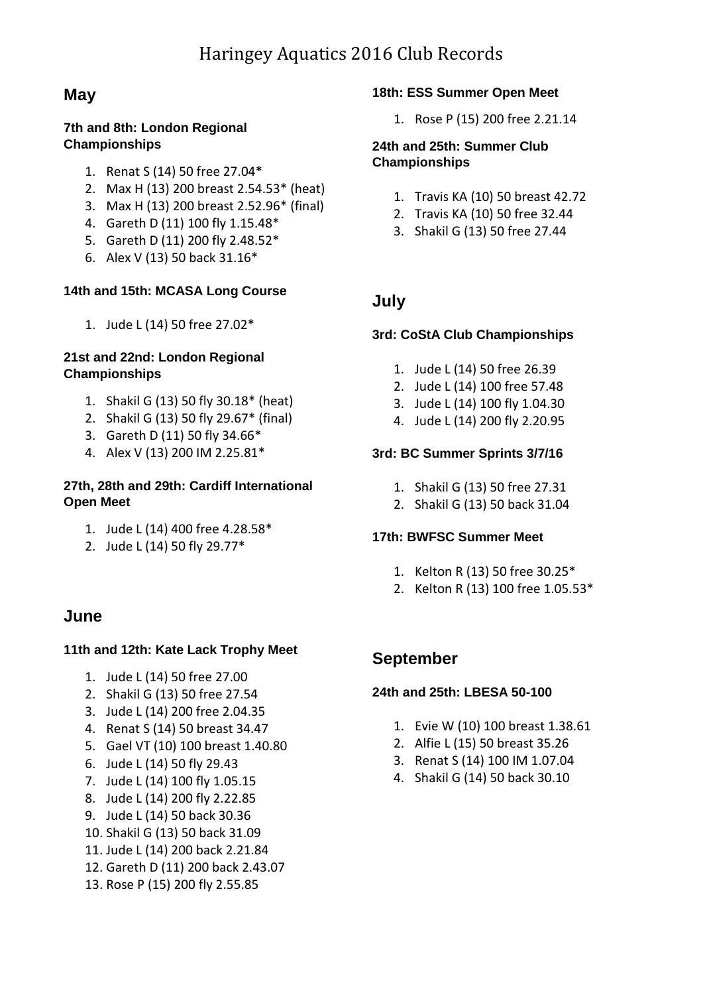# **May**

#### **7th and 8th: London Regional Championships**

- 1. Renat S (14) 50 free 27.04\*
- 2. Max H (13) 200 breast 2.54.53\* (heat)
- 3. Max H (13) 200 breast 2.52.96\* (final)
- 4. Gareth D (11) 100 fly 1.15.48\*
- 5. Gareth D (11) 200 fly 2.48.52\*
- 6. Alex V (13) 50 back 31.16\*

#### **14th and 15th: MCASA Long Course**

1. Jude L (14) 50 free 27.02\*

#### **21st and 22nd: London Regional Championships**

- 1. Shakil G (13) 50 fly 30.18\* (heat)
- 2. Shakil G (13) 50 fly 29.67\* (final)
- 3. Gareth D (11) 50 fly 34.66\*
- 4. Alex V (13) 200 IM 2.25.81\*

#### **27th, 28th and 29th: Cardiff International Open Meet**

- 1. Jude L (14) 400 free 4.28.58\*
- 2. Jude L (14) 50 fly 29.77\*

## **June**

#### **11th and 12th: Kate Lack Trophy Meet**

- 1. Jude L (14) 50 free 27.00
- 2. Shakil G (13) 50 free 27.54
- 3. Jude L (14) 200 free 2.04.35
- 4. Renat S (14) 50 breast 34.47
- 5. Gael VT (10) 100 breast 1.40.80
- 6. Jude L (14) 50 fly 29.43
- 7. Jude L (14) 100 fly 1.05.15
- 8. Jude L (14) 200 fly 2.22.85
- 9. Jude L (14) 50 back 30.36
- 10. Shakil G (13) 50 back 31.09
- 11. Jude L (14) 200 back 2.21.84
- 12. Gareth D (11) 200 back 2.43.07
- 13. Rose P (15) 200 fly 2.55.85

#### **18th: ESS Summer Open Meet**

1. Rose P (15) 200 free 2.21.14

#### **24th and 25th: Summer Club Championships**

- 1. Travis KA (10) 50 breast 42.72
- 2. Travis KA (10) 50 free 32.44
- 3. Shakil G (13) 50 free 27.44

### **July**

#### **3rd: CoStA Club Championships**

- 1. Jude L (14) 50 free 26.39
- 2. Jude L (14) 100 free 57.48
- 3. Jude L (14) 100 fly 1.04.30
- 4. Jude L (14) 200 fly 2.20.95

#### **3rd: BC Summer Sprints 3/7/16**

- 1. Shakil G (13) 50 free 27.31
- 2. Shakil G (13) 50 back 31.04

#### **17th: BWFSC Summer Meet**

- 1. Kelton R (13) 50 free 30.25\*
- 2. Kelton R (13) 100 free 1.05.53\*

### **September**

#### **24th and 25th: LBESA 50-100**

- 1. Evie W (10) 100 breast 1.38.61
- 2. Alfie L (15) 50 breast 35.26
- 3. Renat S (14) 100 IM 1.07.04
- 4. Shakil G (14) 50 back 30.10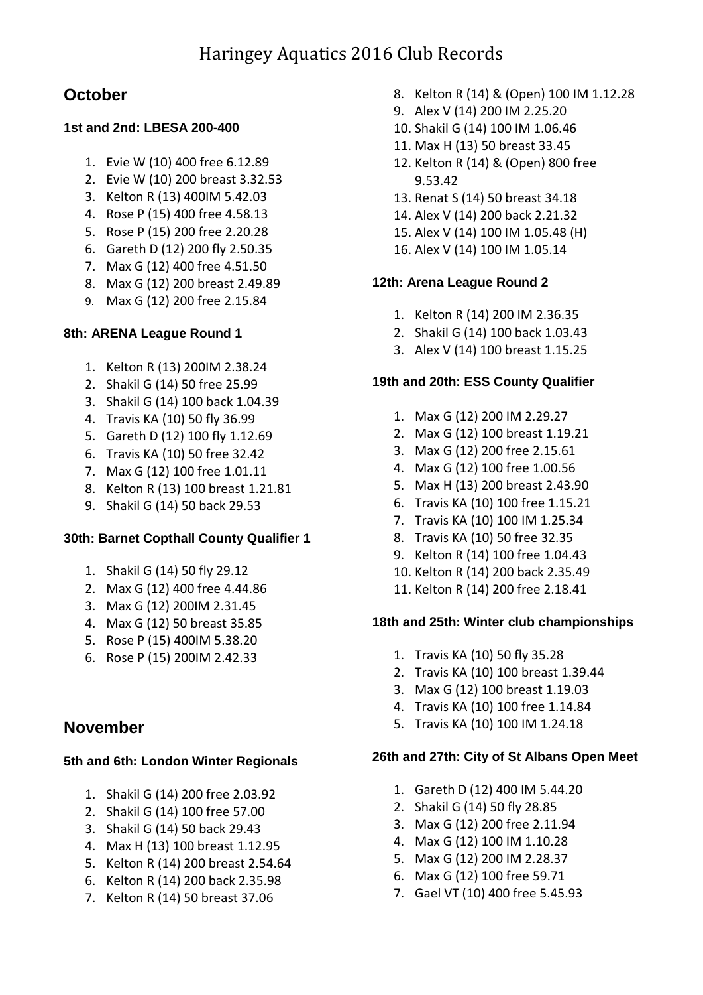# **October**

### **1st and 2nd: LBESA 200-400**

- 1. Evie W (10) 400 free 6.12.89
- 2. Evie W (10) 200 breast 3.32.53
- 3. Kelton R (13) 400IM 5.42.03
- 4. Rose P (15) 400 free 4.58.13
- 5. Rose P (15) 200 free 2.20.28
- 6. Gareth D (12) 200 fly 2.50.35
- 7. Max G (12) 400 free 4.51.50
- 8. Max G (12) 200 breast 2.49.89
- 9. Max G (12) 200 free 2.15.84

#### **8th: ARENA League Round 1**

- 1. Kelton R (13) 200IM 2.38.24
- 2. Shakil G (14) 50 free 25.99
- 3. Shakil G (14) 100 back 1.04.39
- 4. Travis KA (10) 50 fly 36.99
- 5. Gareth D (12) 100 fly 1.12.69
- 6. Travis KA (10) 50 free 32.42
- 7. Max G (12) 100 free 1.01.11
- 8. Kelton R (13) 100 breast 1.21.81
- 9. Shakil G (14) 50 back 29.53

### **30th: Barnet Copthall County Qualifier 1**

- 1. Shakil G (14) 50 fly 29.12
- 2. Max G (12) 400 free 4.44.86
- 3. Max G (12) 200IM 2.31.45
- 4. Max G (12) 50 breast 35.85
- 5. Rose P (15) 400IM 5.38.20
- 6. Rose P (15) 200IM 2.42.33

## **November**

#### **5th and 6th: London Winter Regionals**

- 1. Shakil G (14) 200 free 2.03.92
- 2. Shakil G (14) 100 free 57.00
- 3. Shakil G (14) 50 back 29.43
- 4. Max H (13) 100 breast 1.12.95
- 5. Kelton R (14) 200 breast 2.54.64
- 6. Kelton R (14) 200 back 2.35.98
- 7. Kelton R (14) 50 breast 37.06
- 8. Kelton R (14) & (Open) 100 IM 1.12.28
- 9. Alex V (14) 200 IM 2.25.20
- 10. Shakil G (14) 100 IM 1.06.46
- 11. Max H (13) 50 breast 33.45
- 12. Kelton R (14) & (Open) 800 free 9.53.42
- 13. Renat S (14) 50 breast 34.18
- 14. Alex V (14) 200 back 2.21.32
- 15. Alex V (14) 100 IM 1.05.48 (H)
- 16. Alex V (14) 100 IM 1.05.14

### **12th: Arena League Round 2**

- 1. Kelton R (14) 200 IM 2.36.35
- 2. Shakil G (14) 100 back 1.03.43
- 3. Alex V (14) 100 breast 1.15.25

#### **19th and 20th: ESS County Qualifier**

- 1. Max G (12) 200 IM 2.29.27
- 2. Max G (12) 100 breast 1.19.21
- 3. Max G (12) 200 free 2.15.61
- 4. Max G (12) 100 free 1.00.56
- 5. Max H (13) 200 breast 2.43.90
- 6. Travis KA (10) 100 free 1.15.21
- 7. Travis KA (10) 100 IM 1.25.34
- 8. Travis KA (10) 50 free 32.35
- 9. Kelton R (14) 100 free 1.04.43
- 10. Kelton R (14) 200 back 2.35.49
- 11. Kelton R (14) 200 free 2.18.41

#### **18th and 25th: Winter club championships**

- 1. Travis KA (10) 50 fly 35.28
- 2. Travis KA (10) 100 breast 1.39.44
- 3. Max G (12) 100 breast 1.19.03
- 4. Travis KA (10) 100 free 1.14.84
- 5. Travis KA (10) 100 IM 1.24.18

#### **26th and 27th: City of St Albans Open Meet**

- 1. Gareth D (12) 400 IM 5.44.20
- 2. Shakil G (14) 50 fly 28.85
- 3. Max G (12) 200 free 2.11.94
- 4. Max G (12) 100 IM 1.10.28
- 5. Max G (12) 200 IM 2.28.37
- 6. Max G (12) 100 free 59.71
- 7. Gael VT (10) 400 free 5.45.93